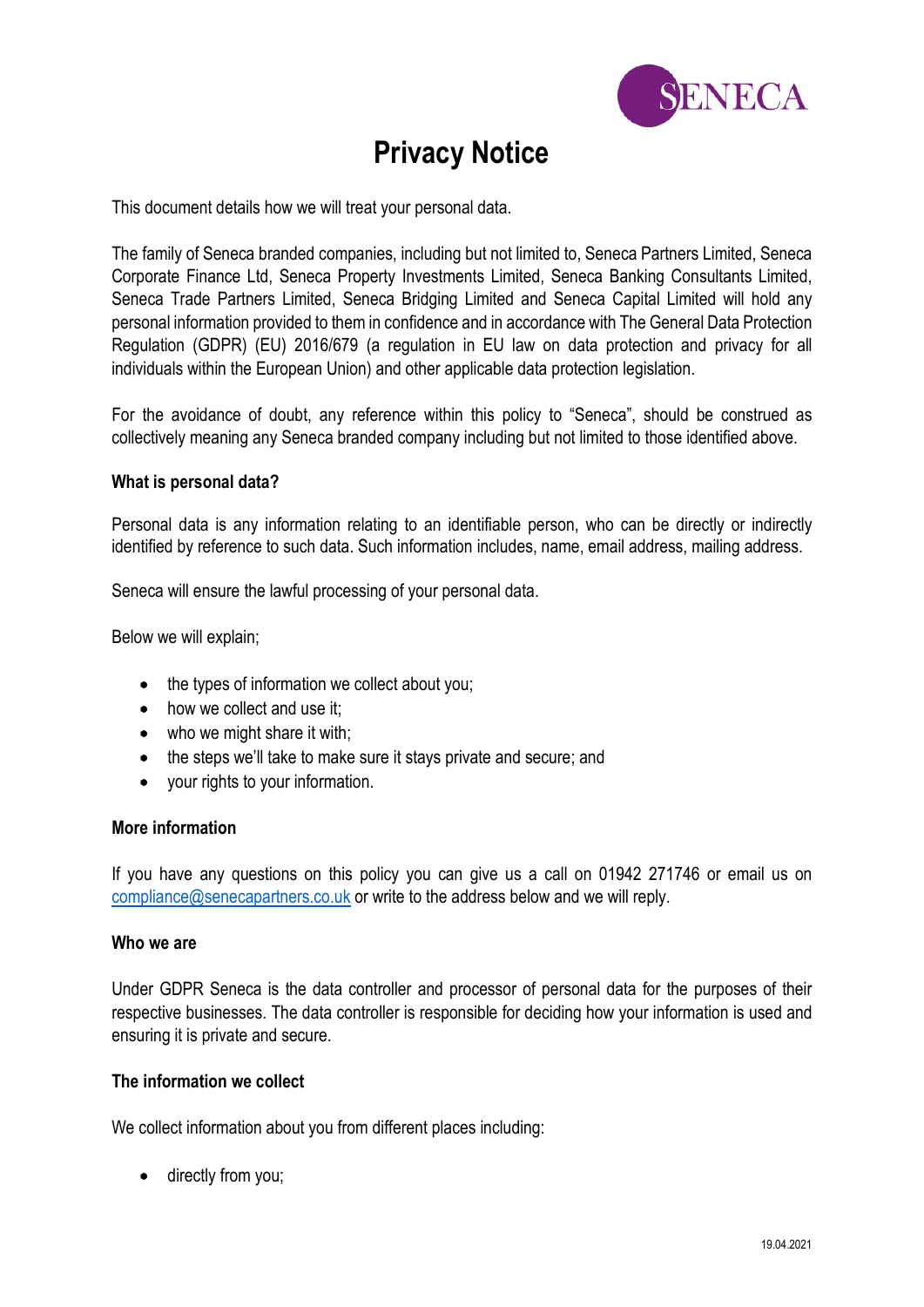

# **Privacy Notice**

This document details how we will treat your personal data.

The family of Seneca branded companies, including but not limited to, Seneca Partners Limited, Seneca Corporate Finance Ltd, Seneca Property Investments Limited, Seneca Banking Consultants Limited, Seneca Trade Partners Limited, Seneca Bridging Limited and Seneca Capital Limited will hold any personal information provided to them in confidence and in accordance with The General Data Protection Regulation (GDPR) (EU) 2016/679 (a regulation in EU law on data protection and privacy for all individuals within the European Union) and other applicable data protection legislation.

For the avoidance of doubt, any reference within this policy to "Seneca", should be construed as collectively meaning any Seneca branded company including but not limited to those identified above.

## **What is personal data?**

Personal data is any information relating to an identifiable person, who can be directly or indirectly identified by reference to such data. Such information includes, name, email address, mailing address.

Seneca will ensure the lawful processing of your personal data.

Below we will explain;

- the types of information we collect about you;
- how we collect and use it:
- who we might share it with:
- the steps we'll take to make sure it stays private and secure; and
- your rights to your information.

## **More information**

If you have any questions on this policy you can give us a call on 01942 271746 or email us on [compliance@senecapartners.co.uk](mailto:compliance@senecapartners.co.uk) or write to the address below and we will reply.

#### **Who we are**

Under GDPR Seneca is the data controller and processor of personal data for the purposes of their respective businesses. The data controller is responsible for deciding how your information is used and ensuring it is private and secure.

## **The information we collect**

We collect information about you from different places including:

• directly from you;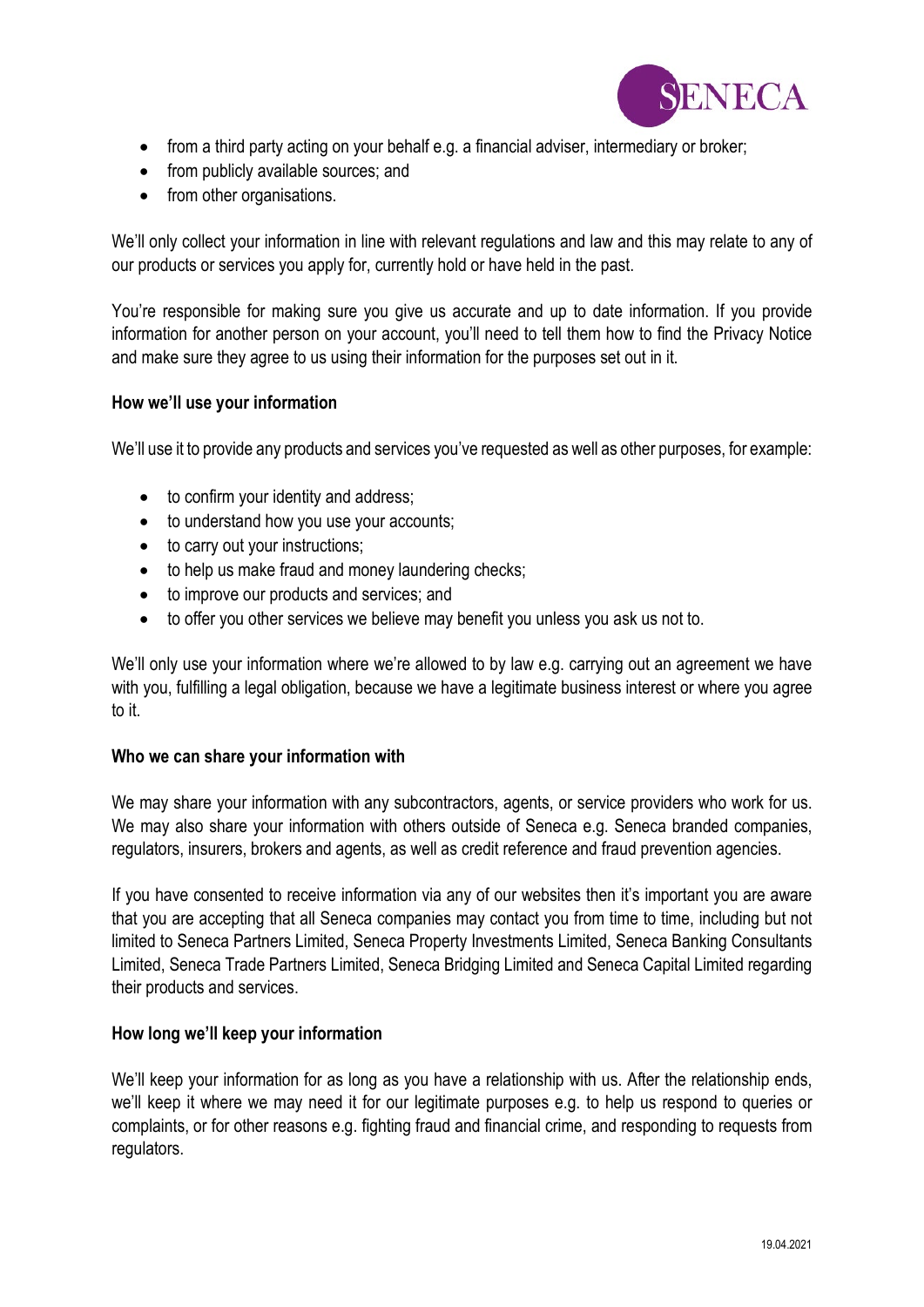

- from a third party acting on your behalf e.g. a financial adviser, intermediary or broker;
- from publicly available sources; and
- from other organisations.

We'll only collect your information in line with relevant regulations and law and this may relate to any of our products or services you apply for, currently hold or have held in the past.

You're responsible for making sure you give us accurate and up to date information. If you provide information for another person on your account, you'll need to tell them how to find the Privacy Notice and make sure they agree to us using their information for the purposes set out in it.

## **How we'll use your information**

We'll use it to provide any products and services you've requested as well as other purposes, for example:

- to confirm your identity and address;
- to understand how you use your accounts;
- to carry out your instructions;
- to help us make fraud and money laundering checks;
- to improve our products and services; and
- to offer you other services we believe may benefit you unless you ask us not to.

We'll only use your information where we're allowed to by law e.g. carrying out an agreement we have with you, fulfilling a legal obligation, because we have a legitimate business interest or where you agree to it.

## **Who we can share your information with**

We may share your information with any subcontractors, agents, or service providers who work for us. We may also share your information with others outside of Seneca e.g. Seneca branded companies, regulators, insurers, brokers and agents, as well as credit reference and fraud prevention agencies.

If you have consented to receive information via any of our websites then it's important you are aware that you are accepting that all Seneca companies may contact you from time to time, including but not limited to Seneca Partners Limited, Seneca Property Investments Limited, Seneca Banking Consultants Limited, Seneca Trade Partners Limited, Seneca Bridging Limited and Seneca Capital Limited regarding their products and services.

## **How long we'll keep your information**

We'll keep your information for as long as you have a relationship with us. After the relationship ends, we'll keep it where we may need it for our legitimate purposes e.g. to help us respond to queries or complaints, or for other reasons e.g. fighting fraud and financial crime, and responding to requests from regulators.